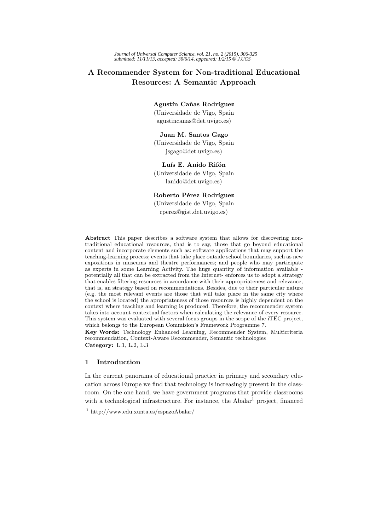# **A Recommender System for Non-traditional Educational Resources: A Semantic Approach**

### **Agustín Cañas Rodríguez**

(Universidade de Vigo, Spain agustincanas@det.uvigo.es)

# **Juan M. Santos Gago**

(Universidade de Vigo, Spain jsgago@det.uvigo.es)

# Luís E. Anido Rifón

(Universidade de Vigo, Spain lanido@det.uvigo.es)

### **Roberto Pérez Rodríguez**

(Universidade de Vigo, Spain rperez@gist.det.uvigo.es)

**Abstract** This paper describes a software system that allows for discovering nontraditional educational resources, that is to say, those that go beyond educational content and incorporate elements such as: software applications that may support the teaching-learning process; events that take place outside school boundaries, such as new expositions in museums and theatre performances; and people who may participate as experts in some Learning Activity. The huge quantity of information available potentially all that can be extracted from the Internet- enforces us to adopt a strategy that enables filtering resources in accordance with their appropriateness and relevance, that is, an strategy based on recommendations. Besides, due to their particular nature (e.g. the most relevant events are those that will take place in the same city where the school is located) the apropriateness of those resources is highly dependent on the context where teaching and learning is produced. Therefore, the recommender system takes into account contextual factors when calculating the relevance of every resource. This system was evaluated with several focus groups in the scope of the iTEC project, which belongs to the European Commision's Framework Programme 7. **Key Words:** Technology Enhanced Learning, Recommender System, Multicriteria

recommendation, Context-Aware Recommender, Semantic technologies **Category:** L.1, L.2, L.3

### **1 Introduction**

In the current panorama of educational practice in primary and secondary education across Europe we find that technology is increasingly present in the classroom. On the one hand, we have government programs that provide classrooms with a technological infrastructure. For instance, the  $A$ balar<sup>1</sup> project, financed

 $\frac{1}{1}$  http://www.edu.xunta.es/espazoAbalar/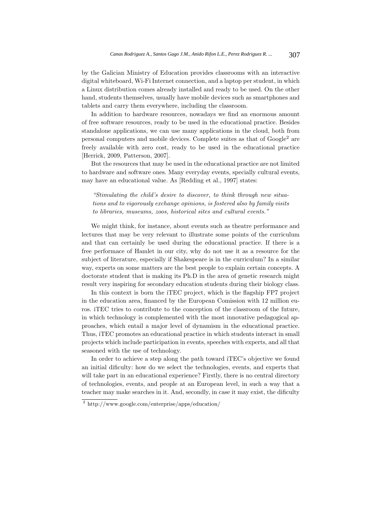by the Galician Ministry of Education provides classrooms with an interactive digital whiteboard, Wi-Fi Internet connection, and a laptop per student, in which a Linux distribution comes already installed and ready to be used. On the other hand, students themselves, usually have mobile devices such as smartphones and tablets and carry them everywhere, including the classroom.

In addition to hardware resources, nowadays we find an enormous amount of free software resources, ready to be used in the educational practice. Besides standalone applications, we can use many applications in the cloud, both from personal computers and mobile devices. Complete suites as that of Google<sup>2</sup> are freely available with zero cost, ready to be used in the educational practice [Herrick, 2009, Patterson, 2007].

But the resources that may be used in the educational practice are not limited to hardware and software ones. Many everyday events, specially cultural events, may have an educational value. As [Redding et al., 1997] states:

*"Stimulating the child's desire to discover, to think through new situations and to vigorously exchange opinions, is fostered also by family visits to libraries, museums, zoos, historical sites and cultural events."*

We might think, for instance, about events such as theatre performance and lectures that may be very relevant to illustrate some points of the curriculum and that can certainly be used during the educational practice. If there is a free performace of Hamlet in our city, why do not use it as a resource for the subject of literature, especially if Shakespeare is in the curriculum? In a similar way, experts on some matters are the best people to explain certain concepts. A doctorate student that is making its Ph.D in the area of genetic research might result very inspiring for secondary education students during their biology class.

In this context is born the iTEC project, which is the flagship FP7 project in the education area, financed by the European Comission with 12 million euros. iTEC tries to contribute to the conception of the classroom of the future, in which technology is complemented with the most innovative pedagogical approaches, which entail a major level of dynamism in the educational practice. Thus, iTEC promotes an educational practice in which students interact in small projects which include participation in events, speeches with experts, and all that seasoned with the use of technology.

In order to achieve a step along the path toward iTEC's objective we found an initial dificulty: how do we select the technologies, events, and experts that will take part in an educational experience? Firstly, there is no central directory of technologies, events, and people at an European level, in such a way that a teacher may make searches in it. And, secondly, in case it may exist, the dificulty

<sup>2</sup> http://www.google.com/enterprise/apps/education/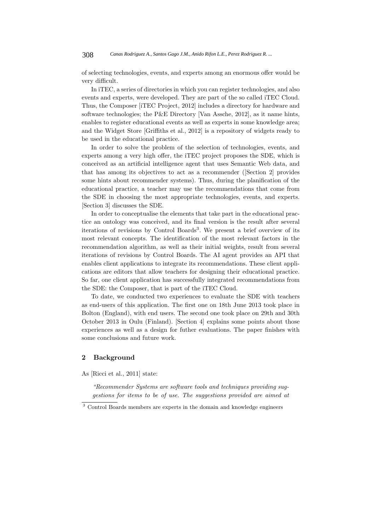#### 308 *Canas Rodriguez A., Santos Gago J.M., Anido Rifon L.E., Perez Rodriguez R. ...*

of selecting technologies, events, and experts among an enormous offer would be very difficult.

In iTEC, a series of directories in which you can register technologies, and also events and experts, were developed. They are part of the so called iTEC Cloud. Thus, the Composer [iTEC Project, 2012] includes a directory for hardware and software technologies; the P&E Directory [Van Assche, 2012], as it name hints, enables to register educational events as well as experts in some knowledge area; and the Widget Store [Griffiths et al., 2012] is a repository of widgets ready to be used in the educational practice.

In order to solve the problem of the selection of technologies, events, and experts among a very high offer, the iTEC project proposes the SDE, which is conceived as an artificial intelligence agent that uses Semantic Web data, and that has among its objectives to act as a recommender ([Section 2] provides some hints about recommender systems). Thus, during the planification of the educational practice, a teacher may use the recommendations that come from the SDE in choosing the most appropriate technologies, events, and experts. [Section 3] discusses the SDE.

In order to conceptualise the elements that take part in the educational practice an ontology was conceived, and its final version is the result after several iterations of revisions by Control Boards<sup>3</sup>. We present a brief overview of its most relevant concepts. The identification of the most relevant factors in the recommendation algorithm, as well as their initial weights, result from several iterations of revisions by Control Boards. The AI agent provides an API that enables client applications to integrate its recommendations. These client applications are editors that allow teachers for designing their educational practice. So far, one client application has successfully integrated recommendations from the SDE: the Composer, that is part of the iTEC Cloud.

To date, we conducted two experiences to evaluate the SDE with teachers as end-users of this application. The first one on 18th June 2013 took place in Bolton (England), with end users. The second one took place on 29th and 30th October 2013 in Oulu (Finland). [Section 4] explains some points about those experiences as well as a design for futher evaluations. The paper finishes with some conclusions and future work.

# **2 Background**

As [Ricci et al., 2011] state:

*"Recommender Systems are software tools and techniques providing suggestions for items to be of use. The suggestions provided are aimed at*

<sup>3</sup> Control Boards members are experts in the domain and knowledge engineers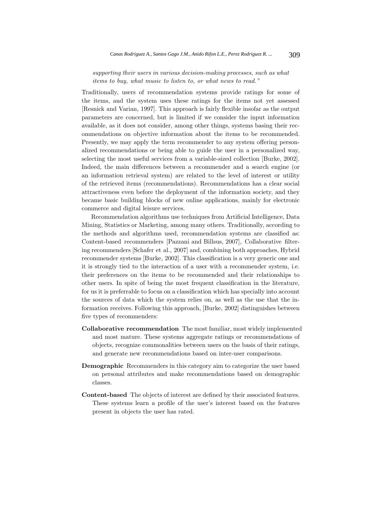# *supporting their users in various decision-making processes, such as what items to buy, what music to listen to, or what news to read."*

Traditionally, users of recommendation systems provide ratings for some of the items, and the system uses these ratings for the items not yet assessed [Resnick and Varian, 1997]. This approach is fairly flexible insofar as the output parameters are concerned, but is limited if we consider the input information available, as it does not consider, among other things, systems basing their recommendations on objective information about the items to be recommended. Presently, we may apply the term recommender to any system offering personalized recommendations or being able to guide the user in a personalized way, selecting the most useful services from a variable-sized collection [Burke, 2002]. Indeed, the main differences between a recommender and a search engine (or an information retrieval system) are related to the level of interest or utility of the retrieved items (recommendations). Recommendations has a clear social attractiveness even before the deployment of the information society, and they became basic building blocks of new online applications, mainly for electronic commerce and digital leisure services.

Recommendation algorithms use techniques from Artificial Intelligence, Data Mining, Statistics or Marketing, among many others. Traditionally, according to the methods and algorithms used, recommendation systems are classified as: Content-based recommenders [Pazzani and Billsus, 2007], Collaborative filtering recommenders [Schafer et al., 2007] and, combining both approaches, Hybrid recommender systems [Burke, 2002]. This classification is a very generic one and it is strongly tied to the interaction of a user with a recommender system, i.e. their preferences on the items to be recommended and their relationships to other users. In spite of being the most frequent classification in the literature, for us it is preferrable to focus on a classification which has specially into account the sources of data which the system relies on, as well as the use that the information receives. Following this approach, [Burke, 2002] distinguishes between five types of recommenders:

- **Collaborative recommendation** The most familiar, most widely implemented and most mature. These systems aggregate ratings or recommendations of objects, recognize commonalities between users on the basis of their ratings, and generate new recommendations based on inter-user comparisons.
- **Demographic** Recommenders in this category aim to categorize the user based on personal attributes and make recommendations based on demographic classes.
- **Content-based** The objects of interest are defined by their associated features. These systems learn a profile of the user's interest based on the features present in objects the user has rated.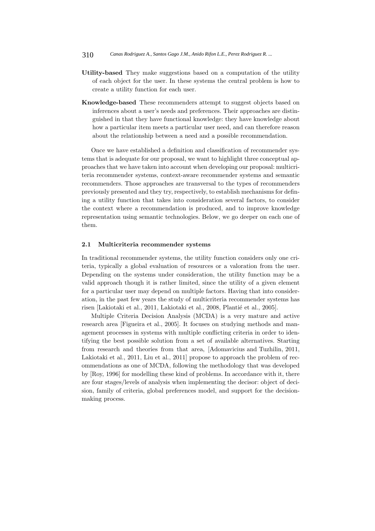- **Utility-based** They make suggestions based on a computation of the utility of each object for the user. In these systems the central problem is how to create a utility function for each user.
- **Knowledge-based** These recommenders attempt to suggest objects based on inferences about a user's needs and preferences. Their approaches are distinguished in that they have functional knowledge: they have knowledge about how a particular item meets a particular user need, and can therefore reason about the relationship between a need and a possible recommendation.

Once we have established a definition and classification of recommender systems that is adequate for our proposal, we want to highlight three conceptual approaches that we have taken into account when developing our proposal: multicriteria recommender systems, context-aware recommender systems and semantic recommenders. Those approaches are transversal to the types of recommenders previously presented and they try, respectively, to establish mechanisms for defining a utility function that takes into consideration several factors, to consider the context where a recommendation is produced, and to improve knowledge representation using semantic technologies. Below, we go deeper on each one of them.

#### **2.1 Multicriteria recommender systems**

In traditional recommender systems, the utility function considers only one criteria, typically a global evaluation of resources or a valoration from the user. Depending on the systems under consideration, the utility function may be a valid approach though it is rather limited, since the utility of a given element for a particular user may depend on multiple factors. Having that into consideration, in the past few years the study of multicriteria recommender systems has risen [Lakiotaki et al., 2011, Lakiotaki et al., 2008, Plantié et al., 2005].

Multiple Criteria Decision Analysis (MCDA) is a very mature and active research area [Figueira et al., 2005]. It focuses on studying methods and management processes in systems with multiple conflicting criteria in order to identifying the best possible solution from a set of available alternatives. Starting from research and theories from that area, [Adomavicius and Tuzhilin, 2011, Lakiotaki et al., 2011, Liu et al., 2011] propose to approach the problem of recommendations as one of MCDA, following the methodology that was developed by [Roy, 1996] for modelling these kind of problems. In accordance with it, there are four stages/levels of analysis when implementing the decisor: object of decision, family of criteria, global preferences model, and support for the decisionmaking process.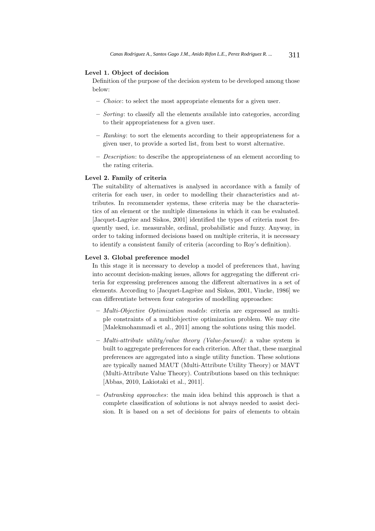### **Level 1. Object of decision**

Definition of the purpose of the decision system to be developed among those below:

- **–** *Choice*: to select the most appropriate elements for a given user.
- **–** *Sorting*: to classify all the elements available into categories, according to their appropriateness for a given user.
- **–** *Ranking*: to sort the elements according to their appropriateness for a given user, to provide a sorted list, from best to worst alternative.
- **–** *Description*: to describe the appropriateness of an element according to the rating criteria.

### **Level 2. Family of criteria**

The suitability of alternatives is analysed in accordance with a family of criteria for each user, in order to modelling their characteristics and attributes. In recommender systems, these criteria may be the characteristics of an element or the multiple dimensions in which it can be evaluated. [Jacquet-Lagrèze and Siskos, 2001] identified the types of criteria most frequently used, i.e. measurable, ordinal, probabilistic and fuzzy. Anyway, in order to taking informed decisions based on multiple criteria, it is necessary to identify a consistent family of criteria (according to Roy's definition).

#### **Level 3. Global preference model**

In this stage it is necessary to develop a model of preferences that, having into account decision-making issues, allows for aggregating the different criteria for expressing preferences among the different alternatives in a set of elements. According to [Jacquet-Lagrèze and Siskos, 2001, Vincke, 1986] we can differentiate between four categories of modelling approaches:

- **–** *Multi-Objective Optimization models*: criteria are expressed as multiple constraints of a multiobjective optimization problem. We may cite [Malekmohammadi et al., 2011] among the solutions using this model.
- **–** *Multi-attribute utility/value theory (Value-focused)*: a value system is built to aggregate preferences for each criterion. After that, these marginal preferences are aggregated into a single utility function. These solutions are typically named MAUT (Multi-Attribute Utility Theory) or MAVT (Multi-Attribute Value Theory). Contributions based on this technique: [Abbas, 2010, Lakiotaki et al., 2011].
- **–** *Outranking approaches*: the main idea behind this approach is that a complete classification of solutions is not always needed to assist decision. It is based on a set of decisions for pairs of elements to obtain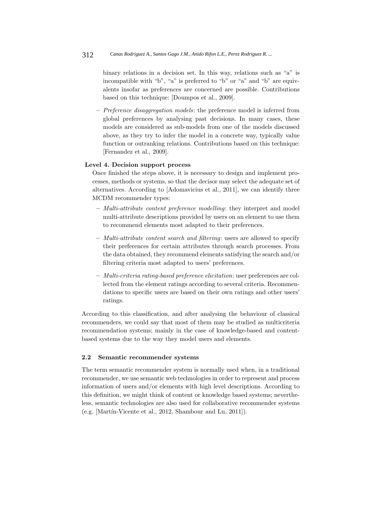binary relations in a decision set. In this way, relations such as "a" is incompatible with "b", "a" is preferred to "b" or "a" and "b" are equivalents insofar as preferences are concerned are possible. Contributions based on this technique: [Doumpos et al., 2009].

**–** *Preference disaggregation models*: the preference model is inferred from global preferences by analysing past decisions. In many cases, these models are considered as sub-models from one of the models discussed above, as they try to infer the model in a concrete way, typically value function or outranking relations. Contributions based on this technique: [Fernandez et al., 2009].

#### **Level 4. Decision support process**

Once finished the steps above, it is necessary to design and implement processes, methods or systems, so that the decisor may select the adequate set of alternatives. According to [Adomavicius et al., 2011], we can identify three MCDM recommender types:

- **–** *Multi-attribute content preference modelling*: they interpret and model multi-attribute descriptions provided by users on an element to use them to recommend elements most adapted to their preferences.
- **–** *Multi-attribute content search and filtering*: users are allowed to specify their preferences for certain attributes through search processes. From the data obtained, they recommend elements satisfying the search and/or filtering criteria most adapted to users' preferences.
- **–** *Multi-criteria rating-based preference elicitation*: user preferences are collected from the element ratings according to several criteria. Recommendations to specific users are based on their own ratings and other users' ratings.

According to this classification, and after analysing the behaviour of classical recommenders, we could say that most of them may be studied as multicriteria recommendation systems; mainly in the case of knowledge-based and contentbased systems due to the way they model users and elements.

#### **2.2 Semantic recommender systems**

The term semantic recommender system is normally used when, in a traditional recommender, we use semantic web technologies in order to represent and process information of users and/or elements with high level descriptions. According to this definition, we might think of content or knowledge based systems; nevertheless, semantic technologies are also used for collaborative recommender systems (e.g. [Martín-Vicente et al., 2012, Shambour and Lu, 2011]).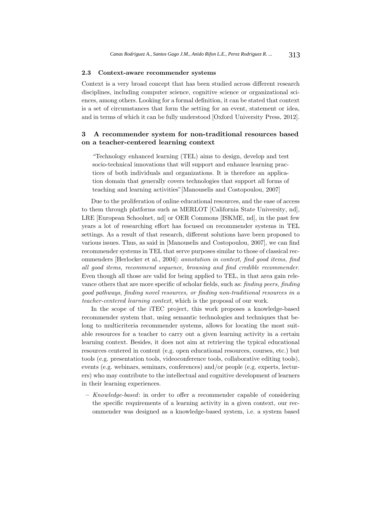#### **2.3 Context-aware recommender systems**

Context is a very broad concept that has been studied across different research disciplines, including computer science, cognitive science or organizational sciences, among others. Looking for a formal definition, it can be stated that context is a set of circumstances that form the setting for an event, statement or idea, and in terms of which it can be fully understood [Oxford University Press, 2012].

# **3 A recommender system for non-traditional resources based on a teacher-centered learning context**

"Technology enhanced learning (TEL) aims to design, develop and test socio-technical innovations that will support and enhance learning practices of both individuals and organizations. It is therefore an application domain that generally covers technologies that support all forms of teaching and learning activities"[Manouselis and Costopoulou, 2007]

Due to the proliferation of online educational resources, and the ease of access to them through platforms such as MERLOT [California State University, nd], LRE [European Schoolnet, nd] or OER Commons [ISKME, nd], in the past few years a lot of researching effort has focused on recommender systems in TEL settings. As a result of that research, different solutions have been proposed to various issues. Thus, as said in [Manouselis and Costopoulou, 2007], we can find recommender systems in TEL that serve purposes similar to those of classical recommenders [Herlocker et al., 2004]: *annotation in context, find good items, find all good items, recommend sequence, browsing and find credible recommender*. Even though all those are valid for being applied to TEL, in that area gain relevance others that are more specific of scholar fields, such as: *finding peers, finding good pathways, finding novel resources, or finding non-traditional resources in a teacher-centered learning context*, which is the proposal of our work.

In the scope of the iTEC project, this work proposes a knowledge-based recommender system that, using semantic technologies and techniques that belong to multicriteria recommender systems, allows for locating the most suitable resources for a teacher to carry out a given learning activity in a certain learning context. Besides, it does not aim at retrieving the typical educational resources centered in content (e.g. open educational resources, courses, etc.) but tools (e.g. presentation tools, videoconference tools, collaborative editing tools), events (e.g. webinars, seminars, conferences) and/or people (e.g. experts, lecturers) who may contribute to the intellectual and cognitive development of learners in their learning experiences.

**–** *Knowledge-based*: in order to offer a recommender capable of considering the specific requirements of a learning activity in a given context, our recommender was designed as a knowledge-based system, i.e. a system based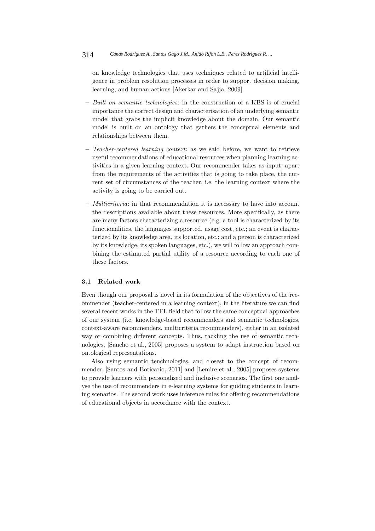on knowledge technologies that uses techniques related to artificial intelligence in problem resolution processes in order to support decision making, learning, and human actions [Akerkar and Sajja, 2009].

- **–** *Built on semantic technologies*: in the construction of a KBS is of crucial importance the correct design and characterisation of an underlying semantic model that grabs the implicit knowledge about the domain. Our semantic model is built on an ontology that gathers the conceptual elements and relationships between them.
- **–** *Teacher-centered learning context*: as we said before, we want to retrieve useful recommendations of educational resources when planning learning activities in a given learning context. Our recommender takes as input, apart from the requirements of the activities that is going to take place, the current set of circumstances of the teacher, i.e. the learning context where the activity is going to be carried out.
- **–** *Multicriteria*: in that recommendation it is necessary to have into account the descriptions available about these resources. More specifically, as there are many factors characterizing a resource (e.g. a tool is characterized by its functionalities, the languages supported, usage cost, etc.; an event is characterized by its knowledge area, its location, etc.; and a person is characterized by its knowledge, its spoken languages, etc.), we will follow an approach combining the estimated partial utility of a resource according to each one of these factors.

#### **3.1 Related work**

Even though our proposal is novel in its formulation of the objectives of the recommender (teacher-centered in a learning context), in the literature we can find several recent works in the TEL field that follow the same conceptual approaches of our system (i.e. knowledge-based recommenders and semantic technologies, context-aware recommenders, multicriteria recommenders), either in an isolated way or combining different concepts. Thus, tackling the use of semantic technologies, [Sancho et al., 2005] proposes a system to adapt instruction based on ontological representations.

Also using semantic tenchnologies, and closest to the concept of recommender, [Santos and Boticario, 2011] and [Lemire et al., 2005] proposes systems to provide learners with personalised and inclusive scenarios. The first one analyse the use of recommenders in e-learning systems for guiding students in learning scenarios. The second work uses inference rules for offering recommendations of educational objects in accordance with the context.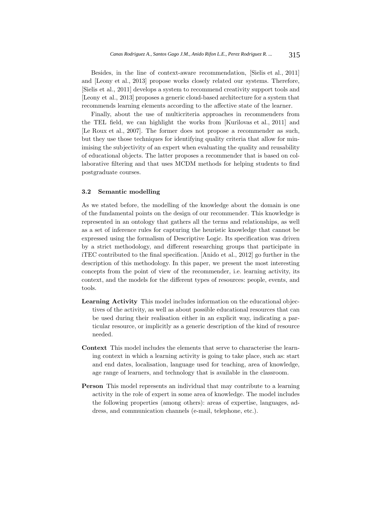Besides, in the line of context-aware recommendation, [Sielis et al., 2011] and [Leony et al., 2013] propose works closely related our systems. Therefore, [Sielis et al., 2011] develops a system to recommend creativity support tools and [Leony et al., 2013] proposes a generic cloud-based architecture for a system that recommends learning elements according to the affective state of the learner.

Finally, about the use of multicriteria approaches in recommenders from the TEL field, we can highlight the works from [Kurilovas et al., 2011] and [Le Roux et al., 2007]. The former does not propose a recommender as such, but they use those techniques for identifying quality criteria that allow for minimising the subjectivity of an expert when evaluating the quality and reusability of educational objects. The latter proposes a recommender that is based on collaborative filtering and that uses MCDM methods for helping students to find postgraduate courses.

#### **3.2 Semantic modelling**

As we stated before, the modelling of the knowledge about the domain is one of the fundamental points on the design of our recommender. This knowledge is represented in an ontology that gathers all the terms and relationships, as well as a set of inference rules for capturing the heuristic knowledge that cannot be expressed using the formalism of Descriptive Logic. Its specification was driven by a strict methodology, and different researching groups that participate in iTEC contributed to the final specification. [Anido et al., 2012] go further in the description of this methodology. In this paper, we present the most interesting concepts from the point of view of the recommender, i.e. learning activity, its context, and the models for the different types of resources: people, events, and tools.

- **Learning Activity** This model includes information on the educational objectives of the activity, as well as about possible educational resources that can be used during their realisation either in an explicit way, indicating a particular resource, or implicitly as a generic description of the kind of resource needed.
- **Context** This model includes the elements that serve to characterise the learning context in which a learning activity is going to take place, such as: start and end dates, localisation, language used for teaching, area of knowledge, age range of learners, and technology that is available in the classroom.
- **Person** This model represents an individual that may contribute to a learning activity in the role of expert in some area of knowledge. The model includes the following properties (among others): areas of expertise, languages, address, and communication channels (e-mail, telephone, etc.).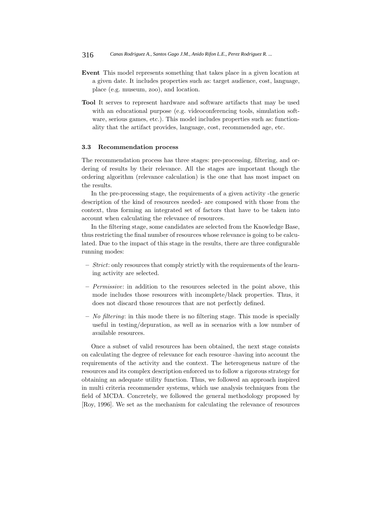- **Event** This model represents something that takes place in a given location at a given date. It includes properties such as: target audience, cost, language, place (e.g. museum, zoo), and location.
- **Tool** It serves to represent hardware and software artifacts that may be used with an educational purpose (e.g. videoconferencing tools, simulation software, serious games, etc.). This model includes properties such as: functionality that the artifact provides, language, cost, recommended age, etc.

#### **3.3 Recommendation process**

The recommendation process has three stages: pre-processing, filtering, and ordering of results by their relevance. All the stages are important though the ordering algorithm (relevance calculation) is the one that has most impact on the results.

In the pre-processing stage, the requirements of a given activity -the generic description of the kind of resources needed- are composed with those from the context, thus forming an integrated set of factors that have to be taken into account when calculating the relevance of resources.

In the filtering stage, some candidates are selected from the Knowledge Base, thus restricting the final number of resources whose relevance is going to be calculated. Due to the impact of this stage in the results, there are three configurable running modes:

- **–** *Strict*: only resources that comply strictly with the requirements of the learning activity are selected.
- **–** *Permissive*: in addition to the resources selected in the point above, this mode includes those resources with incomplete/black properties. Thus, it does not discard those resources that are not perfectly defined.
- **–** *No filtering*: in this mode there is no filtering stage. This mode is specially useful in testing/depuration, as well as in scenarios with a low number of available resources.

Once a subset of valid resources has been obtained, the next stage consists on calculating the degree of relevance for each resource -having into account the requirements of the activity and the context. The heterogeneus nature of the resources and its complex description enforced us to follow a rigorous strategy for obtaining an adequate utility function. Thus, we followed an approach inspired in multi criteria recommender systems, which use analysis techniques from the field of MCDA. Concretely, we followed the general methodology proposed by [Roy, 1996]. We set as the mechanism for calculating the relevance of resources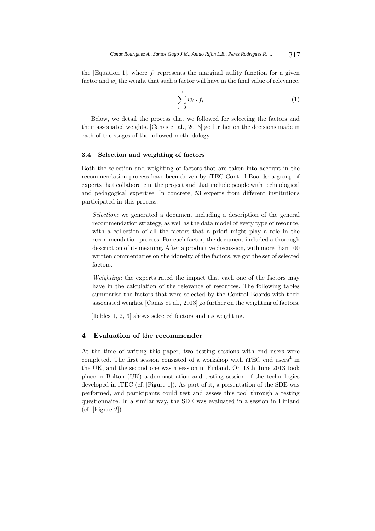the [Equation 1], where  $f_i$  represents the marginal utility function for a given factor and *w<sup>i</sup>* the weight that such a factor will have in the final value of relevance.

$$
\sum_{i=0}^{n} w_i \cdot f_i \tag{1}
$$

Below, we detail the process that we followed for selecting the factors and their associated weights. [Cañas et al., 2013] go further on the decisions made in each of the stages of the followed methodology.

#### **3.4 Selection and weighting of factors**

Both the selection and weighting of factors that are taken into account in the recommendation process have been driven by iTEC Control Boards: a group of experts that collaborate in the project and that include people with technological and pedagogical expertise. In concrete, 53 experts from different institutions participated in this process.

- **–** *Selection*: we generated a document including a description of the general recommendation strategy, as well as the data model of every type of resource, with a collection of all the factors that a priori might play a role in the recommendation process. For each factor, the document included a thorough description of its meaning. After a productive discussion, with more than 100 written commentaries on the idoneity of the factors, we got the set of selected factors.
- **–** *Weighting*: the experts rated the impact that each one of the factors may have in the calculation of the relevance of resources. The following tables summarise the factors that were selected by the Control Boards with their associated weights. [Cañas et al., 2013] go further on the weighting of factors.

[Tables 1, 2, 3] shows selected factors and its weighting.

### **4 Evaluation of the recommender**

At the time of writing this paper, two testing sessions with end users were completed. The first session consisted of a workshop with iTEC end users<sup>4</sup> in the UK, and the second one was a session in Finland. On 18th June 2013 took place in Bolton (UK) a demonstration and testing session of the technologies developed in iTEC (cf. [Figure 1]). As part of it, a presentation of the SDE was performed, and participants could test and assess this tool through a testing questionnaire. In a similar way, the SDE was evaluated in a session in Finland (cf. [Figure 2]).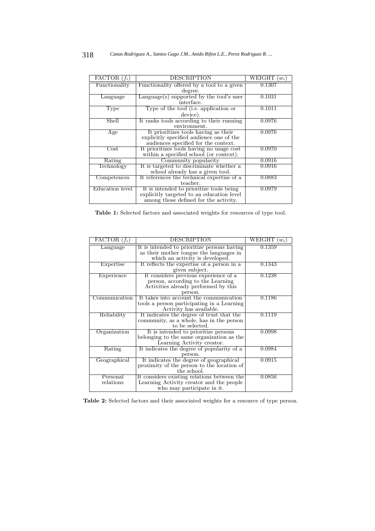| FACTOR $(f_i)$  | <b>DESCRIPTION</b>                                     | WEIGHT<br>$(w_i)$ |
|-----------------|--------------------------------------------------------|-------------------|
| Functionality   | Functionality offered by a tool to a given             | 0.1307            |
|                 | degree.                                                |                   |
| Language        | Language(s) supported by the tool's user<br>interface. | 0.1031            |
|                 |                                                        |                   |
| Type            | Type of the tool (i.e. application or                  | 0.1011            |
|                 | device).                                               |                   |
| Shell           | It ranks tools according to their running              | 0.0976            |
|                 | environment.                                           |                   |
| Age             | It prioritizes tools having as their                   | 0.0976            |
|                 | explicitly specified audience one of the               |                   |
|                 | audiences specified for the context.                   |                   |
| $\mathrm{Cost}$ | It prioritizes tools having no usage cost              | 0.0970            |
|                 | within a specified school (or context).                |                   |
| Rating          | Community popularity.                                  | 0.0916            |
| Technology      | It is targeted to discriminate whether a               | 0.0916            |
|                 | school already has a given tool.                       |                   |
| Competences     | It references the technical expertise of a             | 0.0883            |
|                 | teacher.                                               |                   |
| Education level | It is intended to prioritize tools being               | 0.0979            |
|                 | explicitly targeted to an education level              |                   |
|                 | among those defined for the activity.                  |                   |

**Table 1:** Selected factors and associated weights for resources of type tool.

| $\overline{\text{FACTOR}(f_i)}$ | DESCRIPTION                                                                                                                   | WEIGHT<br>$(w_i)$ |
|---------------------------------|-------------------------------------------------------------------------------------------------------------------------------|-------------------|
| Language                        | It is intended to prioritize persons having<br>as their mother tongue the languages in<br>which an activity is developed.     | 0.1359            |
| Expertise                       | It reflects the expertise of a person in a<br>given subject.                                                                  | 0.1343            |
| Experience                      | It considers previous experience of a<br>person, according to the Learning<br>Activities already performed by this<br>person. | 0.1238            |
| Communication                   | It takes into account the communication<br>tools a person participating in a Learning<br>Activity has available.              | 0.1186            |
| Reliability                     | It indicates the degree of trust that the<br>community, as a whole, has in the person<br>to be selected.                      | 0.1119            |
| Organization                    | It is intended to prioritize persons<br>belonging to the same organization as the<br>Learning Activity creator.               | 0.0998            |
| Rating                          | It indicates the degree of popularity of a<br>person.                                                                         | 0.0984            |
| Geographical                    | It indicates the degree of geographical<br>proximity of the person to the location of<br>the school.                          | 0.0915            |
| Personal<br>relations           | It considers existing relations between the<br>Learning Activity creator and the people<br>who may participate in it.         | 0.0856            |

**Table 2:** Selected factors and their associated weights for a resource of type person.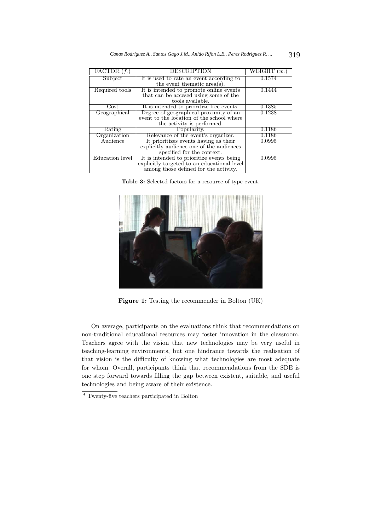| $\overline{\text{FACTOR}}(f_i)$ | <b>DESCRIPTION</b>                          | WEIGHT<br>$w_i$ |
|---------------------------------|---------------------------------------------|-----------------|
| Subject                         | It is used to rate an event according to    | 0.1574          |
|                                 | the event thematic $area(s)$ .              |                 |
| Required tools                  | It is intended to promote online events     | 0.1444          |
|                                 | that can be accesed using some of the       |                 |
|                                 | tools available.                            |                 |
| $\cos t$                        | It is intended to prioritize free events.   | 0.1385          |
| Geographical                    | Degree of geographical proximity of an      | 0.1238          |
|                                 | event to the location of the school where   |                 |
|                                 | the activity is performed.                  |                 |
| Rating                          | Popularity.                                 | 0.1186          |
| Organization                    | Relevance of the event's organizer.         | 0.1186          |
| Audience                        | It prioritizes events having as their       | 0.0995          |
|                                 | explicitly audience one of the audiences    |                 |
|                                 | specified for the context.                  |                 |
| Education level                 | It is intended to prioritize events being   | 0.0995          |
|                                 | explicitly targeted to an educational level |                 |
|                                 | among those defined for the activity.       |                 |

*Canas Rodriguez A., Santos Gago J.M., Anido Rifon L.E., Perez Rodriguez R. ...* 319

**Table 3:** Selected factors for a resource of type event.



**Figure 1:** Testing the recommender in Bolton (UK)

On average, participants on the evaluations think that recommendations on non-traditional educational resources may foster innovation in the classroom. Teachers agree with the vision that new technologies may be very useful in teaching-learning environments, but one hindrance towards the realisation of that vision is the difficulty of knowing what technologies are most adequate for whom. Overall, participants think that recommendations from the SDE is one step forward towards filling the gap between existent, suitable, and useful technologies and being aware of their existence.

<sup>4</sup> Twenty-five teachers participated in Bolton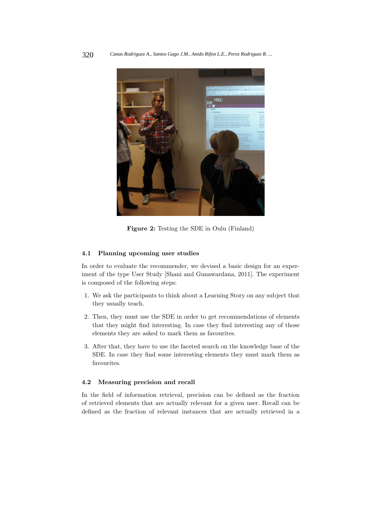

**Figure 2:** Testing the SDE in Oulu (Finland)

#### **4.1 Planning upcoming user studies**

In order to evaluate the recommender, we devised a basic design for an experiment of the type User Study [Shani and Gunawardana, 2011]. The experiment is composed of the following steps:

- 1. We ask the participants to think about a Learning Story on any subject that they usually teach.
- 2. Then, they must use the SDE in order to get recommendations of elements that they might find interesting. In case they find interesting any of those elements they are asked to mark them as favourites.
- 3. After that, they have to use the faceted search on the knowledge base of the SDE. In case they find some interesting elements they must mark them as favourites.

#### **4.2 Measuring precision and recall**

In the field of information retrieval, precision can be defined as the fraction of retrieved elements that are actually relevant for a given user. Recall can be defined as the fraction of relevant instances that are actually retrieved in a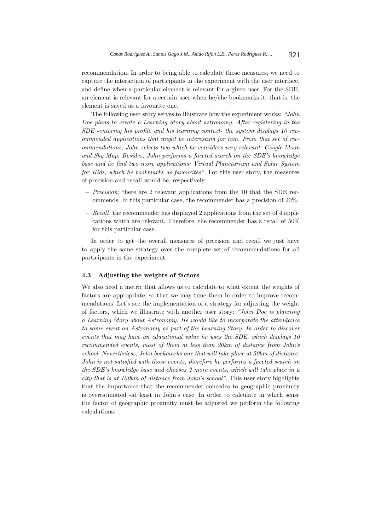recommendation. In order to being able to calculate those measures, we need to capture the interaction of participants in the experiment with the user interface, and define when a particular element is relevant for a given user. For the SDE, an element is relevant for a certain user when he/she bookmarks it -that is, the element is saved as a favourite one.

The following user story serves to illustrate how the experiment works: *"John Doe plans to create a Learning Story about astronomy. After registering in the SDE -entering his profile and his learning context- the system displays 10 recommended applications that might be interesting for him. From that set of recommendations, John selects two which he considers very relevant: Google Moon and Sky Map. Besides, John performs a faceted search on the SDE's knowledge base and he find two more applications: Virtual Planetarium and Solar System for Kids; which he bookmarks as favourites"*. For this user story, the measures of precision and recall would be, respectively:

- **–** *Precision*: there are 2 relevant applications from the 10 that the SDE recommends. In this particular case, the recommender has a precision of 20%.
- **–** *Recall*: the recommender has displayed 2 applications from the set of 4 applications which are relevant. Therefore, the recommender has a recall of 50% for this particular case.

In order to get the overall measures of precision and recall we just have to apply the same strategy over the complete set of recommendations for all participants in the experiment.

#### **4.3 Adjusting the weights of factors**

We also need a metric that allows us to calculate to what extent the weights of factors are appropriate, so that we may tune them in order to improve recommendations. Let's see the implementation of a strategy for adjusting the weight of factors, which we illustrate with another user story: *"John Doe is planning a Learning Story about Astronomy. He would like to incorporate the attendance to some event on Astronomy as part of the Learning Story. In order to discover events that may have an educational value he uses the SDE, which displays 10 recommended events, most of them at less than 20km of distance from John's school. Nevertheless, John bookmarks one that will take place at 50km of distance. John is not satisfied with those events, therefore he performs a faceted search on the SDE's knowledge base and chooses 2 more events, which will take place in a city that is at 100km of distance from John's school"*. This user story highlights that the importance that the recommender concedes to geographic proximity is overestimated -at least in John's case. In order to calculate in which sense the factor of geographic proximity must be adjusted we perform the following calculations: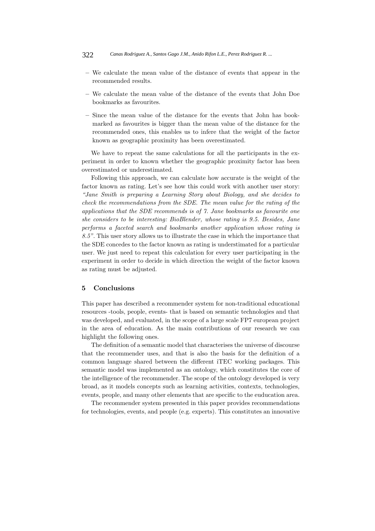- **–** We calculate the mean value of the distance of events that appear in the recommended results.
- **–** We calculate the mean value of the distance of the events that John Doe bookmarks as favourites.
- **–** Since the mean value of the distance for the events that John has bookmarked as favourites is bigger than the mean value of the distance for the recommended ones, this enables us to infere that the weight of the factor known as geographic proximity has been overestimated.

We have to repeat the same calculations for all the participants in the experiment in order to known whether the geographic proximity factor has been overestimated or underestimated.

Following this approach, we can calculate how accurate is the weight of the factor known as rating. Let's see how this could work with another user story: *"Jane Smith is preparing a Learning Story about Biology, and she decides to check the recommendations from the SDE. The mean value for the rating of the applications that the SDE recommends is of 7. Jane bookmarks as favourite one she considers to be interesting: BioBlender, whose rating is 9.5. Besides, Jane performs a faceted search and bookmarks another application whose rating is 8.5"*. This user story allows us to illustrate the case in which the importance that the SDE concedes to the factor known as rating is understimated for a particular user. We just need to repeat this calculation for every user participating in the experiment in order to decide in which direction the weight of the factor known as rating must be adjusted.

#### **5 Conclusions**

This paper has described a recommender system for non-traditional educational resources -tools, people, events- that is based on semantic technologies and that was developed, and evaluated, in the scope of a large scale FP7 european project in the area of education. As the main contributions of our research we can highlight the following ones.

The definition of a semantic model that characterises the universe of discourse that the recommender uses, and that is also the basis for the definition of a common language shared between the different iTEC working packages. This semantic model was implemented as an ontology, which constitutes the core of the intelligence of the recommender. The scope of the ontology developed is very broad, as it models concepts such as learning activities, contexts, technologies, events, people, and many other elements that are specific to the euducation area.

The recommender system presented in this paper provides recommendations for technologies, events, and people (e.g. experts). This constitutes an innovative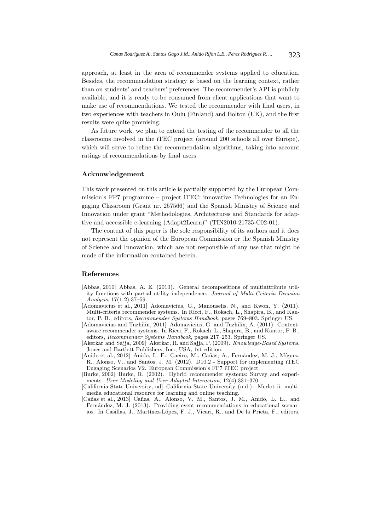approach, at least in the area of recommender systems applied to education. Besides, the recommendation strategy is based on the learning context, rather than on students' and teachers' preferences. The recommender's API is publicly available, and it is ready to be consumed from client applications that want to make use of recommendations. We tested the recommender with final users, in two experiences with teachers in Oulu (Finland) and Bolton (UK), and the first results were quite promising.

As future work, we plan to extend the testing of the recommender to all the classrooms involved in the iTEC project (around 200 schools all over Europe), which will serve to refine the recommendation algorithms, taking into account ratings of recommendations by final users.

#### **Acknowledgement**

This work presented on this article is partially supported by the European Commission's FP7 programme – project iTEC: innovative Technologies for an Engaging Classroom (Grant nr. 257566) and the Spanish Ministry of Science and Innovation under grant "Methodologies, Architectures and Standards for adaptive and accessible e-learning (Adapt2Learn)" (TIN2010-21735-C02-01).

The content of this paper is the sole responsibility of its authors and it does not represent the opinion of the European Commission or the Spanish Ministry of Science and Innovation, which are not responsible of any use that might be made of the information contained herein.

#### **References**

- [Abbas, 2010] Abbas, A. E. (2010). General decompositions of multiattribute utility functions with partial utility independence. *Journal of Multi-Criteria Decision Analysis*, 17(1-2):37–59.
- [Adomavicius et al., 2011] Adomavicius, G., Manouselis, N., and Kwon, Y. (2011). Multi-criteria recommender systems. In Ricci, F., Rokach, L., Shapira, B., and Kantor, P. B., editors, *Recommender Systems Handbook*, pages 769–803. Springer US.
- [Adomavicius and Tuzhilin, 2011] Adomavicius, G. and Tuzhilin, A. (2011). Contextaware recommender systems. In Ricci, F., Rokach, L., Shapira, B., and Kantor, P. B., editors, *Recommender Systems Handbook*, pages 217–253. Springer US.
- [Akerkar and Sajja, 2009] Akerkar, R. and Sajja, P. (2009). *Knowledge-Based Systems*. Jones and Bartlett Publishers, Inc., USA, 1st edition.
- [Anido et al., 2012] Anido, L. E., Caeiro, M., Cañas, A., Fernández, M. J., Míguez, R., Alonso, V., and Santos, J. M. (2012). D10.2 - Support for implementing iTEC Engaging Scenarios V2. European Commission's FP7 iTEC project.
- [Burke, 2002] Burke, R. (2002). Hybrid recommender systems: Survey and experiments. *User Modeling and User-Adapted Interaction*, 12(4):331–370.
- [California State University, nd] California State University (n.d.). Merlot ii. multimedia educational resource for learning and online teaching.
- [Cañas et al., 2013] Cañas, A., Alonso, V. M., Santos, J. M., Anido, L. E., and Fernández, M. J. (2013). Providing event recommendations in educational scenarios. In Casillas, J., Martínez-López, F. J., Vicari, R., and De la Prieta, F., editors,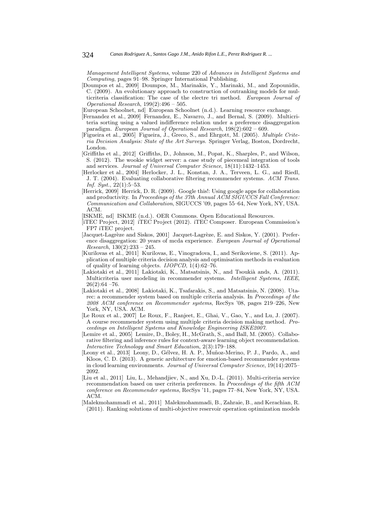*Management Intelligent Systems*, volume 220 of *Advances in Intelligent Systems and Computing*, pages 91–98. Springer International Publishing.

[Doumpos et al., 2009] Doumpos, M., Marinakis, Y., Marinaki, M., and Zopounidis, C. (2009). An evolutionary approach to construction of outranking models for multicriteria classification: The case of the electre tri method. *European Journal of Operational Research*, 199(2):496 – 505.

[European Schoolnet, nd] European Schoolnet (n.d.). Learning resource exchange.

- [Fernandez et al., 2009] Fernandez, E., Navarro, J., and Bernal, S. (2009). Multicriteria sorting using a valued indifference relation under a preference disaggregation paradigm. *European Journal of Operational Research*, 198(2):602 – 609.
- [Figueira et al., 2005] Figueira, J., Greco, S., and Ehrgott, M. (2005). *Multiple Criteria Decision Analysis: State of the Art Surveys*. Springer Verlag, Boston, Dordrecht, London.
- [Griffiths et al., 2012] Griffiths, D., Johnson, M., Popat, K., Sharples, P., and Wilson, S. (2012). The wookie widget server: a case study of piecemeal integration of tools and services. *Journal of Universal Computer Science*, 18(11):1432–1453.
- [Herlocker et al., 2004] Herlocker, J. L., Konstan, J. A., Terveen, L. G., and Riedl, J. T. (2004). Evaluating collaborative filtering recommender systems. *ACM Trans. Inf. Syst.*, 22(1):5–53.
- [Herrick, 2009] Herrick, D. R. (2009). Google this!: Using google apps for collaboration and productivity. In *Proceedings of the 37th Annual ACM SIGUCCS Fall Conference: Communication and Collaboration*, SIGUCCS '09, pages 55–64, New York, NY, USA. ACM.

[ISKME, nd] ISKME (n.d.). OER Commons. Open Educational Resources.

- [iTEC Project, 2012] iTEC Project (2012). iTEC Composer. European Commission's FP7 iTEC project.
- [Jacquet-Lagrèze and Siskos, 2001] Jacquet-Lagrèze, E. and Siskos, Y. (2001). Preference disaggregation: 20 years of mcda experience. *European Journal of Operational Research*, 130(2):233 – 245.
- [Kurilovas et al., 2011] Kurilovas, E., Vinogradova, I., and Serikoviene, S. (2011). Application of multiple criteria decision analysis and optimisation methods in evaluation of quality of learning objects. *IJOPCD*, 1(4):62–76.
- [Lakiotaki et al., 2011] Lakiotaki, K., Matsatsinis, N., and Tsoukià ands, A. (2011). Multicriteria user modeling in recommender systems. *Intelligent Systems, IEEE*,  $26(2):64 - 76.$
- [Lakiotaki et al., 2008] Lakiotaki, K., Tsafarakis, S., and Matsatsinis, N. (2008). Utarec: a recommender system based on multiple criteria analysis. In *Proceedings of the 2008 ACM conference on Recommender systems*, RecSys '08, pages 219–226, New York, NY, USA. ACM.
- [Le Roux et al., 2007] Le Roux, F., Ranjeet, E., Ghai, V., Gao, Y., and Lu, J. (2007). A course recommender system using multiple criteria decision making method. *Proceedings on Intelligent Systems and Knowledge Engineering ISKE2007*.
- [Lemire et al., 2005] Lemire, D., Boley, H., McGrath, S., and Ball, M. (2005). Collaborative filtering and inference rules for context-aware learning object recommendation. *Interactive Technology and Smart Education*, 2(3):179–188.
- [Leony et al., 2013] Leony, D., Gélvez, H. A. P., Muñoz-Merino, P. J., Pardo, A., and Kloos, C. D. (2013). A generic architecture for emotion-based recommender systems in cloud learning environments. *Journal of Universal Computer Science*, 19(14):2075– 2092.
- [Liu et al., 2011] Liu, L., Mehandjiev, N., and Xu, D.-L. (2011). Multi-criteria service recommendation based on user criteria preferences. In *Proceedings of the fifth ACM conference on Recommender systems*, RecSys '11, pages 77–84, New York, NY, USA. ACM.
- [Malekmohammadi et al., 2011] Malekmohammadi, B., Zahraie, B., and Kerachian, R. (2011). Ranking solutions of multi-objective reservoir operation optimization models